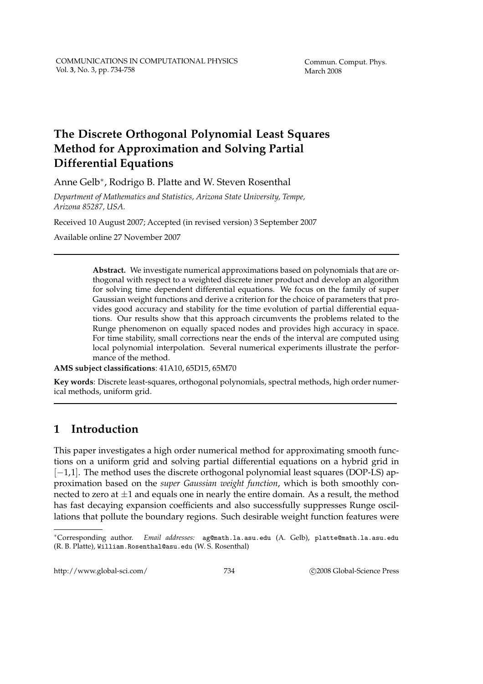# **The Discrete Orthogonal Polynomial Least Squares Method for Approximation and Solving Partial Differential Equations**

Anne Gelb∗ , Rodrigo B. Platte and W. Steven Rosenthal

*Department of Mathematics and Statistics, Arizona State University, Tempe, Arizona 85287, USA.*

Received 10 August 2007; Accepted (in revised version) 3 September 2007

Available online 27 November 2007

**Abstract.** We investigate numerical approximations based on polynomials that are orthogonal with respect to a weighted discrete inner product and develop an algorithm for solving time dependent differential equations. We focus on the family of super Gaussian weight functions and derive a criterion for the choice of parameters that provides good accuracy and stability for the time evolution of partial differential equations. Our results show that this approach circumvents the problems related to the Runge phenomenon on equally spaced nodes and provides high accuracy in space. For time stability, small corrections near the ends of the interval are computed using local polynomial interpolation. Several numerical experiments illustrate the performance of the method.

**AMS subject classifications**: 41A10, 65D15, 65M70

**Key words**: Discrete least-squares, orthogonal polynomials, spectral methods, high order numerical methods, uniform grid.

# **1 Introduction**

This paper investigates a high order numerical method for approximating smooth functions on a uniform grid and solving partial differential equations on a hybrid grid in [−1,1]. The method uses the discrete orthogonal polynomial least squares (DOP-LS) approximation based on the *super Gaussian weight function*, which is both smoothly connected to zero at  $\pm 1$  and equals one in nearly the entire domain. As a result, the method has fast decaying expansion coefficients and also successfully suppresses Runge oscillations that pollute the boundary regions. Such desirable weight function features were

http://www.global-sci.com/ 734 c 2008 Global-Science Press

<sup>∗</sup>Corresponding author. *Email addresses:* ag@math.la.asu.edu (A. Gelb), platte@math.la.asu.edu (R. B. Platte), William.Rosenthal@asu.edu (W. S. Rosenthal)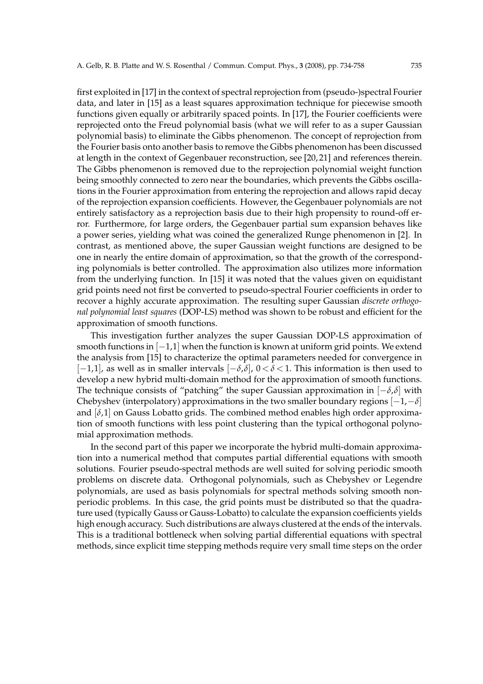first exploited in [17] in the context of spectral reprojection from (pseudo-)spectral Fourier data, and later in [15] as a least squares approximation technique for piecewise smooth functions given equally or arbitrarily spaced points. In [17], the Fourier coefficients were reprojected onto the Freud polynomial basis (what we will refer to as a super Gaussian polynomial basis) to eliminate the Gibbs phenomenon. The concept of reprojection from the Fourier basis onto another basis to remove the Gibbs phenomenon has been discussed at length in the context of Gegenbauer reconstruction, see [20, 21] and references therein. The Gibbs phenomenon is removed due to the reprojection polynomial weight function being smoothly connected to zero near the boundaries, which prevents the Gibbs oscillations in the Fourier approximation from entering the reprojection and allows rapid decay of the reprojection expansion coefficients. However, the Gegenbauer polynomials are not entirely satisfactory as a reprojection basis due to their high propensity to round-off error. Furthermore, for large orders, the Gegenbauer partial sum expansion behaves like a power series, yielding what was coined the generalized Runge phenomenon in [2]. In contrast, as mentioned above, the super Gaussian weight functions are designed to be one in nearly the entire domain of approximation, so that the growth of the corresponding polynomials is better controlled. The approximation also utilizes more information from the underlying function. In [15] it was noted that the values given on equidistant grid points need not first be converted to pseudo-spectral Fourier coefficients in order to recover a highly accurate approximation. The resulting super Gaussian *discrete orthogonal polynomial least squares* (DOP-LS) method was shown to be robust and efficient for the approximation of smooth functions.

This investigation further analyzes the super Gaussian DOP-LS approximation of smooth functions in [-1,1] when the function is known at uniform grid points. We extend the analysis from [15] to characterize the optimal parameters needed for convergence in [−1,1], as well as in smaller intervals [−*δ*,*δ*], 0<sup>&</sup>lt; *<sup>δ</sup>* <sup>&</sup>lt; 1. This information is then used to develop a new hybrid multi-domain method for the approximation of smooth functions. The technique consists of "patching" the super Gaussian approximation in [−*δ*,*δ*] with Chebyshev (interpolatory) approximations in the two smaller boundary regions [−1,−*δ*] and  $[\delta,1]$  on Gauss Lobatto grids. The combined method enables high order approximation of smooth functions with less point clustering than the typical orthogonal polynomial approximation methods.

In the second part of this paper we incorporate the hybrid multi-domain approximation into a numerical method that computes partial differential equations with smooth solutions. Fourier pseudo-spectral methods are well suited for solving periodic smooth problems on discrete data. Orthogonal polynomials, such as Chebyshev or Legendre polynomials, are used as basis polynomials for spectral methods solving smooth nonperiodic problems. In this case, the grid points must be distributed so that the quadrature used (typically Gauss or Gauss-Lobatto) to calculate the expansion coefficients yields high enough accuracy. Such distributions are always clustered at the ends of the intervals. This is a traditional bottleneck when solving partial differential equations with spectral methods, since explicit time stepping methods require very small time steps on the order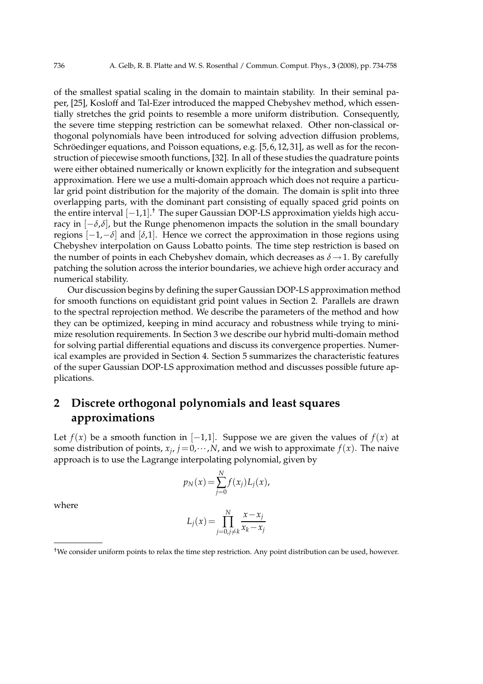of the smallest spatial scaling in the domain to maintain stability. In their seminal paper, [25], Kosloff and Tal-Ezer introduced the mapped Chebyshev method, which essentially stretches the grid points to resemble a more uniform distribution. Consequently, the severe time stepping restriction can be somewhat relaxed. Other non-classical orthogonal polynomials have been introduced for solving advection diffusion problems, Schröedinger equations, and Poisson equations, e.g.  $[5, 6, 12, 31]$ , as well as for the reconstruction of piecewise smooth functions, [32]. In all of these studies the quadrature points were either obtained numerically or known explicitly for the integration and subsequent approximation. Here we use a multi-domain approach which does not require a particular grid point distribution for the majority of the domain. The domain is split into three overlapping parts, with the dominant part consisting of equally spaced grid points on the entire interval [−1,1]. † The super Gaussian DOP-LS approximation yields high accuracy in  $[-\delta, \delta]$ , but the Runge phenomenon impacts the solution in the small boundary regions  $[-1,-\delta]$  and  $[\delta,1]$ . Hence we correct the approximation in those regions using Chebyshev interpolation on Gauss Lobatto points. The time step restriction is based on the number of points in each Chebyshev domain, which decreases as  $\delta \rightarrow 1$ . By carefully patching the solution across the interior boundaries, we achieve high order accuracy and numerical stability.

Our discussion begins by defining the super Gaussian DOP-LS approximation method for smooth functions on equidistant grid point values in Section 2. Parallels are drawn to the spectral reprojection method. We describe the parameters of the method and how they can be optimized, keeping in mind accuracy and robustness while trying to minimize resolution requirements. In Section 3 we describe our hybrid multi-domain method for solving partial differential equations and discuss its convergence properties. Numerical examples are provided in Section 4. Section 5 summarizes the characteristic features of the super Gaussian DOP-LS approximation method and discusses possible future applications.

# **2 Discrete orthogonal polynomials and least squares approximations**

Let  $f(x)$  be a smooth function in  $[-1,1]$ . Suppose we are given the values of  $f(x)$  at some distribution of points,  $x_j$ ,  $j = 0, \dots, N$ , and we wish to approximate  $f(x)$ . The naive approach is to use the Lagrange interpolating polynomial, given by

$$
p_N(x) = \sum_{j=0}^{N} f(x_j) L_j(x),
$$

where

$$
L_j(x) = \prod_{j=0, j \neq k}^{N} \frac{x - x_j}{x_k - x_j}
$$

<sup>†</sup>We consider uniform points to relax the time step restriction. Any point distribution can be used, however.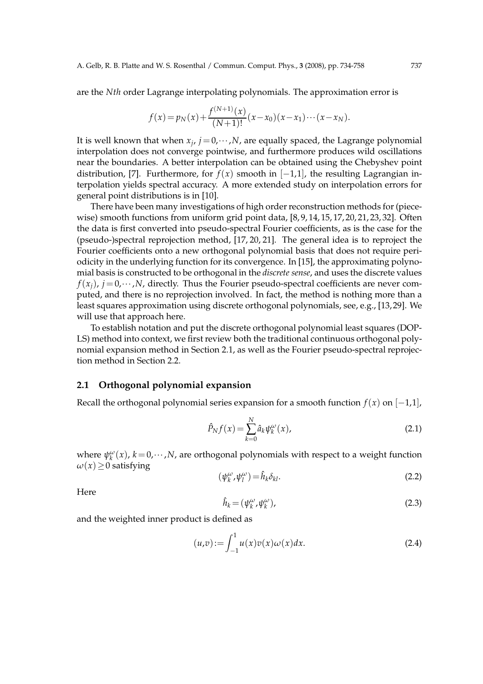are the *Nth* order Lagrange interpolating polynomials. The approximation error is

$$
f(x) = p_N(x) + \frac{f^{(N+1)}(x)}{(N+1)!}(x-x_0)(x-x_1)\cdots(x-x_N).
$$

It is well known that when  $x_j$ ,  $j = 0, \dots, N$ , are equally spaced, the Lagrange polynomial interpolation does not converge pointwise, and furthermore produces wild oscillations near the boundaries. A better interpolation can be obtained using the Chebyshev point distribution, [7]. Furthermore, for  $f(x)$  smooth in  $[-1,1]$ , the resulting Lagrangian interpolation yields spectral accuracy. A more extended study on interpolation errors for general point distributions is in [10].

There have been many investigations of high order reconstruction methods for (piecewise) smooth functions from uniform grid point data,  $[8, 9, 14, 15, 17, 20, 21, 23, 32]$ . Often the data is first converted into pseudo-spectral Fourier coefficients, as is the case for the (pseudo-)spectral reprojection method, [17, 20, 21]. The general idea is to reproject the Fourier coefficients onto a new orthogonal polynomial basis that does not require periodicity in the underlying function for its convergence. In [15], the approximating polynomial basis is constructed to be orthogonal in the *discrete sense*, and uses the discrete values  $f(x_i)$ ,  $j = 0, \dots, N$ , directly. Thus the Fourier pseudo-spectral coefficients are never computed, and there is no reprojection involved. In fact, the method is nothing more than a least squares approximation using discrete orthogonal polynomials, see, e.g., [13, 29]. We will use that approach here.

To establish notation and put the discrete orthogonal polynomial least squares (DOP-LS) method into context, we first review both the traditional continuous orthogonal polynomial expansion method in Section 2.1, as well as the Fourier pseudo-spectral reprojection method in Section 2.2.

#### **2.1 Orthogonal polynomial expansion**

Recall the orthogonal polynomial series expansion for a smooth function  $f(x)$  on  $[-1,1]$ ,

$$
\hat{P}_N f(x) = \sum_{k=0}^N \hat{a}_k \psi_k^{\omega}(x),\tag{2.1}
$$

where  $\psi_k^{\omega}(x)$ ,  $k = 0, \dots, N$ , are orthogonal polynomials with respect to a weight function  $\omega(x) \geq 0$  satisfying

$$
(\psi_k^{\omega}, \psi_l^{\omega}) = \hat{h}_k \delta_{kl}.
$$
\n(2.2)

Here

$$
\hat{h}_k = (\psi_k^{\omega}, \psi_k^{\omega}), \tag{2.3}
$$

and the weighted inner product is defined as

$$
(u,v) := \int_{-1}^{1} u(x)v(x)\omega(x)dx.
$$
 (2.4)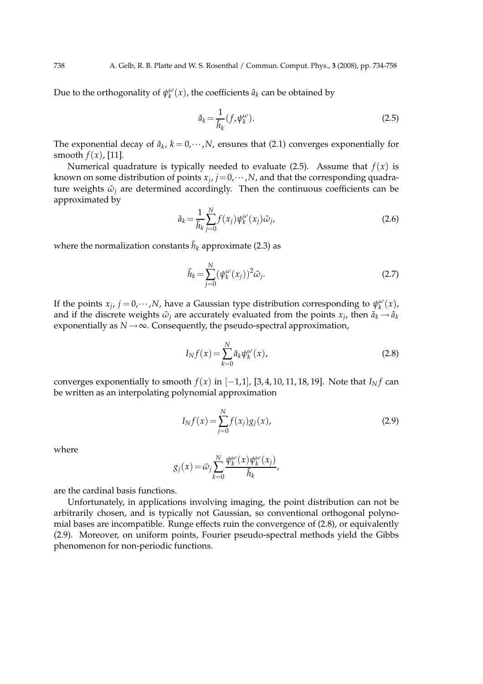Due to the orthogonality of  $\psi_k^{\omega}(x)$ , the coefficients  $\hat{a}_k$  can be obtained by

$$
\hat{a}_k = \frac{1}{\hat{h}_k} (f, \psi_k^{\omega}).
$$
\n(2.5)

The exponential decay of  $\hat{a}_k$ ,  $k = 0, \dots, N$ , ensures that (2.1) converges exponentially for smooth  $f(x)$ , [11].

Numerical quadrature is typically needed to evaluate (2.5). Assume that  $f(x)$  is known on some distribution of points  $x_j$ ,  $j=0,\dots,N$ , and that the corresponding quadrature weights  $\tilde{\omega}_i$  are determined accordingly. Then the continuous coefficients can be approximated by

$$
\tilde{a}_k = \frac{1}{\tilde{h}_k} \sum_{j=0}^{N} f(x_j) \psi_k^{\omega}(x_j) \tilde{\omega}_j,
$$
\n(2.6)

where the normalization constants  $\tilde{h}_k$  approximate (2.3) as

$$
\tilde{h}_k = \sum_{j=0}^{N} (\psi_k^{\omega}(x_j))^2 \tilde{\omega}_j.
$$
\n(2.7)

If the points  $x_j$ ,  $j = 0, \dots, N$ , have a Gaussian type distribution corresponding to  $\psi_k^{\omega}(x)$ , and if the discrete weights  $\tilde{\omega}_j$  are accurately evaluated from the points  $x_j$ , then  $\tilde{a}_k \to \hat{a}_k$ exponentially as  $N \rightarrow \infty$ . Consequently, the pseudo-spectral approximation,

$$
I_N f(x) = \sum_{k=0}^{N} \tilde{a}_k \psi_k^{\omega}(x),
$$
\n(2.8)

converges exponentially to smooth  $f(x)$  in  $[-1,1]$ , [3, 4, 10, 11, 18, 19]. Note that  $I_Nf$  can be written as an interpolating polynomial approximation

$$
I_N f(x) = \sum_{j=0}^{N} f(x_j) g_j(x),
$$
\n(2.9)

where

$$
g_j(x) = \tilde{\omega}_j \sum_{k=0}^N \frac{\psi_k^{\omega}(x) \psi_k^{\omega}(x_j)}{\tilde{h}_k},
$$

are the cardinal basis functions.

Unfortunately, in applications involving imaging, the point distribution can not be arbitrarily chosen, and is typically not Gaussian, so conventional orthogonal polynomial bases are incompatible. Runge effects ruin the convergence of (2.8), or equivalently (2.9). Moreover, on uniform points, Fourier pseudo-spectral methods yield the Gibbs phenomenon for non-periodic functions.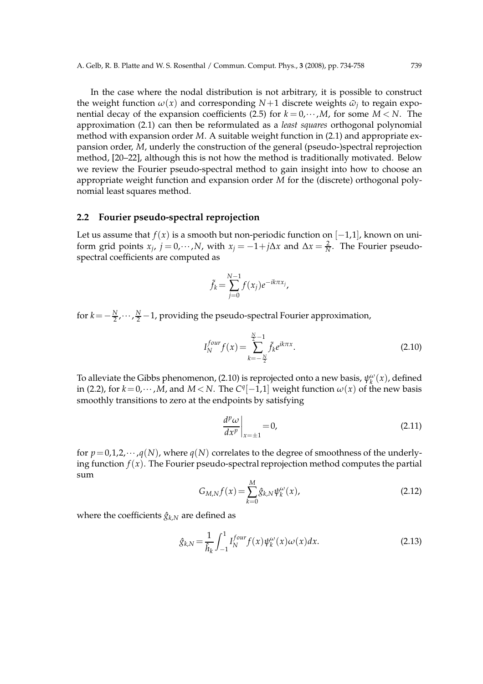In the case where the nodal distribution is not arbitrary, it is possible to construct the weight function  $\omega(x)$  and corresponding  $N+1$  discrete weights  $\tilde{\omega}_j$  to regain exponential decay of the expansion coefficients (2.5) for  $k = 0, \dots, M$ , for some  $M < N$ . The approximation (2.1) can then be reformulated as a *least squares* orthogonal polynomial method with expansion order *M*. A suitable weight function in (2.1) and appropriate expansion order, *M*, underly the construction of the general (pseudo-)spectral reprojection method, [20–22], although this is not how the method is traditionally motivated. Below we review the Fourier pseudo-spectral method to gain insight into how to choose an appropriate weight function and expansion order *M* for the (discrete) orthogonal polynomial least squares method.

### **2.2 Fourier pseudo-spectral reprojection**

Let us assume that  $f(x)$  is a smooth but non-periodic function on  $[-1,1]$ , known on uniform grid points  $x_j$ ,  $j = 0, \dots, N$ , with  $x_j = -1 + j\Delta x$  and  $\Delta x = \frac{2}{N}$ . The Fourier pseudospectral coefficients are computed as

$$
\tilde{f}_k = \sum_{j=0}^{N-1} f(x_j) e^{-ik\pi x_j},
$$

for *k* = − $\frac{N}{2}$ ,…, $\frac{N}{2}$ −1, providing the pseudo-spectral Fourier approximation,

$$
I_N^{four} f(x) = \sum_{k=-\frac{N}{2}}^{\frac{N}{2}-1} \tilde{f}_k e^{ik\pi x}.
$$
 (2.10)

To alleviate the Gibbs phenomenon, (2.10) is reprojected onto a new basis,  $\psi_k^{\omega}(x)$ , defined in (2.2), for  $k = 0, \dots, M$ , and  $M < N$ . The  $C<sup>q</sup>[-1,1]$  weight function  $\omega(x)$  of the new basis smoothly transitions to zero at the endpoints by satisfying

$$
\left. \frac{d^p \omega}{dx^p} \right|_{x=\pm 1} = 0,\tag{2.11}
$$

for  $p=0,1,2,\cdots,q(N)$ , where  $q(N)$  correlates to the degree of smoothness of the underlying function  $f(x)$ . The Fourier pseudo-spectral reprojection method computes the partial sum

$$
G_{M,N}f(x) = \sum_{k=0}^{M} \hat{g}_{k,N} \psi_k^{\omega}(x),
$$
\n(2.12)

where the coefficients  $\hat{g}_{k,N}$  are defined as

$$
\hat{g}_{k,N} = \frac{1}{\hat{h}_k} \int_{-1}^{1} I_N^{four} f(x) \psi_k^{\omega}(x) \omega(x) dx.
$$
 (2.13)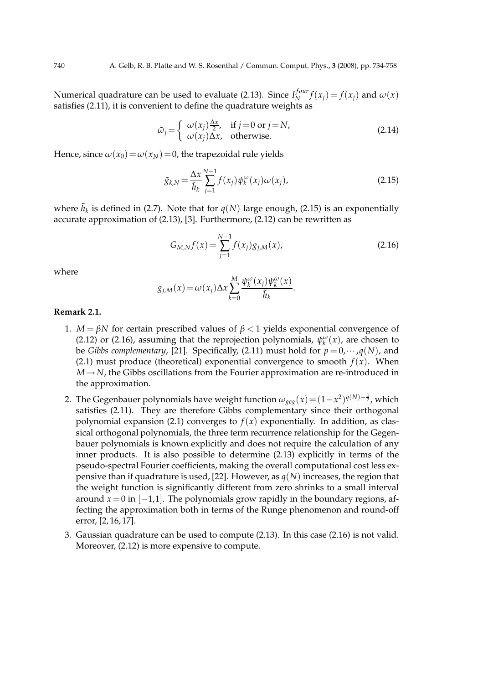Numerical quadrature can be used to evaluate (2.13). Since *I f our*  $f_N^{your} f(x_j) = f(x_j)$  and  $\omega(x)$ satisfies (2.11), it is convenient to define the quadrature weights as

$$
\tilde{\omega}_j = \begin{cases}\n\omega(x_j) \frac{\Delta x}{2}, & \text{if } j = 0 \text{ or } j = N, \\
\omega(x_j) \Delta x, & \text{otherwise.}\n\end{cases}
$$
\n(2.14)

Hence, since  $\omega(x_0) = \omega(x_N) = 0$ , the trapezoidal rule yields

$$
\tilde{g}_{k,N} = \frac{\Delta x}{\tilde{h}_k} \sum_{j=1}^{N-1} f(x_j) \psi_k^{\omega}(x_j) \omega(x_j), \qquad (2.15)
$$

where  $\tilde{h}_k$  is defined in (2.7). Note that for  $q(N)$  large enough, (2.15) is an exponentially accurate approximation of (2.13), [3]. Furthermore, (2.12) can be rewritten as

$$
G_{M,N}f(x) = \sum_{j=1}^{N-1} f(x_j)g_{j,M}(x),
$$
\n(2.16)

where

$$
g_{j,M}(x) = \omega(x_j) \Delta x \sum_{k=0}^{M} \frac{\psi_k^{\omega}(x_j) \psi_k^{\omega}(x)}{\tilde{h}_k}.
$$

#### **Remark 2.1.**

- 1. *M* = *βN* for certain prescribed values of  $β < 1$  yields exponential convergence of (2.12) or (2.16), assuming that the reprojection polynomials,  $\psi_k^{\omega}(x)$ , are chosen to be *Gibbs complementary*, [21]. Specifically, (2.11) must hold for  $p = 0, \dots, q(N)$ , and (2.1) must produce (theoretical) exponential convergence to smooth  $f(x)$ . When  $M \rightarrow N$ , the Gibbs oscillations from the Fourier approximation are re-introduced in the approximation.
- 2. The Gegenbauer polynomials have weight function  $\omega_{geg}(x) = (1-x^2)^{q(N)-\frac{1}{2}}$ , which satisfies (2.11). They are therefore Gibbs complementary since their orthogonal polynomial expansion (2.1) converges to  $f(x)$  exponentially. In addition, as classical orthogonal polynomials, the three term recurrence relationship for the Gegenbauer polynomials is known explicitly and does not require the calculation of any inner products. It is also possible to determine (2.13) explicitly in terms of the pseudo-spectral Fourier coefficients, making the overall computational cost less expensive than if quadrature is used, [22]. However, as  $q(N)$  increases, the region that the weight function is significantly different from zero shrinks to a small interval around  $x=0$  in  $[-1,1]$ . The polynomials grow rapidly in the boundary regions, affecting the approximation both in terms of the Runge phenomenon and round-off error, [2, 16, 17].
- 3. Gaussian quadrature can be used to compute (2.13). In this case (2.16) is not valid. Moreover, (2.12) is more expensive to compute.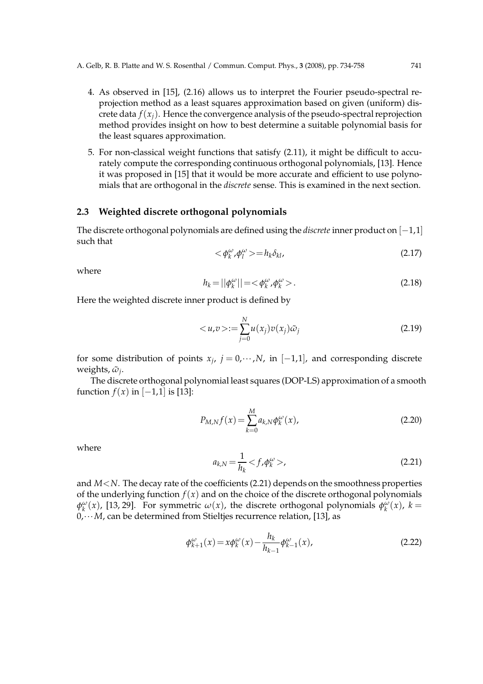- 4. As observed in [15], (2.16) allows us to interpret the Fourier pseudo-spectral reprojection method as a least squares approximation based on given (uniform) discrete data  $f(x_i)$ . Hence the convergence analysis of the pseudo-spectral reprojection method provides insight on how to best determine a suitable polynomial basis for the least squares approximation.
- 5. For non-classical weight functions that satisfy (2.11), it might be difficult to accurately compute the corresponding continuous orthogonal polynomials, [13]. Hence it was proposed in [15] that it would be more accurate and efficient to use polynomials that are orthogonal in the *discrete* sense. This is examined in the next section.

#### **2.3 Weighted discrete orthogonal polynomials**

The discrete orthogonal polynomials are defined using the *discrete* inner product on [−1,1] such that

$$
\langle \phi_k^{\omega}, \phi_l^{\omega} \rangle = h_k \delta_{kl},\tag{2.17}
$$

where

$$
h_k = \left| \left| \phi_k^{\omega} \right| \right| = \left\langle \phi_k^{\omega}, \phi_k^{\omega} \right\rangle. \tag{2.18}
$$

Here the weighted discrete inner product is defined by

$$
\langle u, v \rangle := \sum_{j=0}^{N} u(x_j) v(x_j) \tilde{\omega}_j \tag{2.19}
$$

for some distribution of points  $x_j$ ,  $j = 0, \dots, N$ , in  $[-1,1]$ , and corresponding discrete weights,  $\tilde{\omega}_j$ .

The discrete orthogonal polynomial least squares (DOP-LS) approximation of a smooth function  $f(x)$  in  $[-1,1]$  is [13]:

$$
P_{M,N}f(x) = \sum_{k=0}^{M} a_{k,N} \phi_k^{\omega}(x),
$$
\n(2.20)

where

$$
a_{k,N} = \frac{1}{h_k} < f, \phi_k^{\omega} > \tag{2.21}
$$

and *M*<*N*. The decay rate of the coefficients (2.21) depends on the smoothness properties of the underlying function *f*(*x*) and on the choice of the discrete orthogonal polynomials *φ*<sup>*ω*</sup>(*x*), [13, 29]. For symmetric *ω*(*x*), the discrete orthogonal polynomials  $φ$ <sup>*ω*</sup>(*x*), *k* = 0,···*M*, can be determined from Stieltjes recurrence relation, [13], as

$$
\phi_{k+1}^{\omega}(x) = x \phi_k^{\omega}(x) - \frac{h_k}{h_{k-1}} \phi_{k-1}^{\omega}(x), \tag{2.22}
$$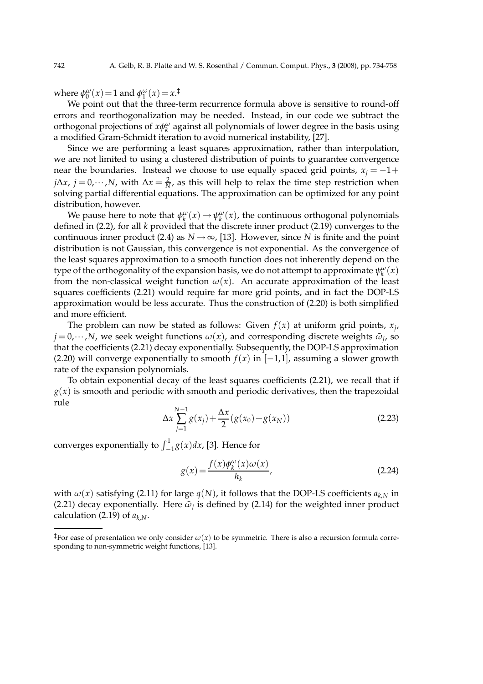where  $\phi_0^{\omega}(x) = 1$  and  $\phi_1^{\omega}(x) = x^{\ddagger}$ .

We point out that the three-term recurrence formula above is sensitive to round-off errors and reorthogonalization may be needed. Instead, in our code we subtract the orthogonal projections of  $x\phi_k^{\omega}$  against all polynomials of lower degree in the basis using a modified Gram-Schmidt iteration to avoid numerical instability, [27].

Since we are performing a least squares approximation, rather than interpolation, we are not limited to using a clustered distribution of points to guarantee convergence near the boundaries. Instead we choose to use equally spaced grid points,  $x_j = -1+$ *j*∆*x*, *j* = 0, ···,*N*, with ∆*x* =  $\frac{2}{N}$ , as this will help to relax the time step restriction when solving partial differential equations. The approximation can be optimized for any point distribution, however.

We pause here to note that  $\phi_k^{\omega}(x) \to \psi_k^{\omega}(x)$ , the continuous orthogonal polynomials defined in (2.2), for all *k* provided that the discrete inner product (2.19) converges to the continuous inner product (2.4) as  $N \rightarrow \infty$ , [13]. However, since *N* is finite and the point distribution is not Gaussian, this convergence is not exponential. As the convergence of the least squares approximation to a smooth function does not inherently depend on the type of the orthogonality of the expansion basis, we do not attempt to approximate  $\psi_k^{\omega}(x)$ from the non-classical weight function  $\omega(x)$ . An accurate approximation of the least squares coefficients (2.21) would require far more grid points, and in fact the DOP-LS approximation would be less accurate. Thus the construction of (2.20) is both simplified and more efficient.

The problem can now be stated as follows: Given  $f(x)$  at uniform grid points,  $x_j$ ,  $\dot{\rho} = 0, \dots, N$ , we seek weight functions  $\omega(x)$ , and corresponding discrete weights  $\tilde{\omega}_j$ , so that the coefficients (2.21) decay exponentially. Subsequently, the DOP-LS approximation (2.20) will converge exponentially to smooth  $f(x)$  in  $[-1,1]$ , assuming a slower growth rate of the expansion polynomials.

To obtain exponential decay of the least squares coefficients (2.21), we recall that if  $g(x)$  is smooth and periodic with smooth and periodic derivatives, then the trapezoidal rule

$$
\Delta x \sum_{j=1}^{N-1} g(x_j) + \frac{\Delta x}{2} (g(x_0) + g(x_N))
$$
\n(2.23)

converges exponentially to  $\int_{-1}^{1} g(x) dx$ , [3]. Hence for

$$
g(x) = \frac{f(x)\phi_k^{\omega}(x)\omega(x)}{h_k},
$$
\n(2.24)

with  $\omega(x)$  satisfying (2.11) for large  $q(N)$ , it follows that the DOP-LS coefficients  $a_{k,N}$  in (2.21) decay exponentially. Here  $\tilde{\omega}_j$  is defined by (2.14) for the weighted inner product calculation (2.19) of  $a_{k,N}$ .

<sup>&</sup>lt;sup>‡</sup>For ease of presentation we only consider  $\omega(x)$  to be symmetric. There is also a recursion formula corresponding to non-symmetric weight functions, [13].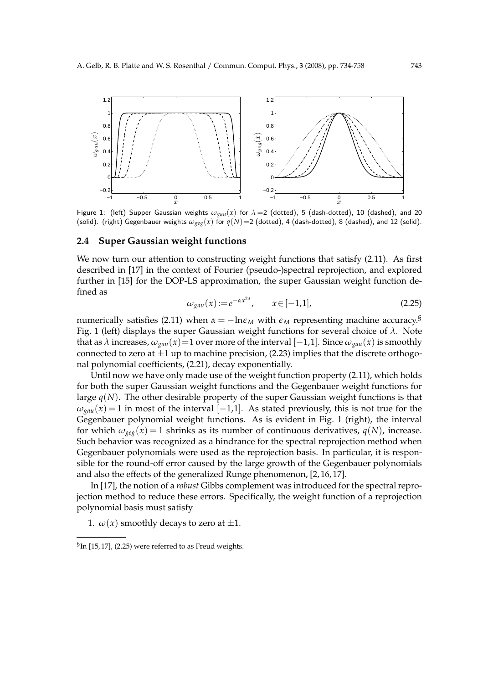

Figure 1: (left) Supper Gaussian weights  $\omega_{gau}(x)$  for  $\lambda = 2$  (dotted), 5 (dash-dotted), 10 (dashed), and 20 (solid). (right) Gegenbauer weights  $\omega_{ge}(x)$  for  $q(N)=2$  (dotted), 4 (dash-dotted), 8 (dashed), and 12 (solid).

#### **2.4 Super Gaussian weight functions**

We now turn our attention to constructing weight functions that satisfy (2.11). As first described in [17] in the context of Fourier (pseudo-)spectral reprojection, and explored further in [15] for the DOP-LS approximation, the super Gaussian weight function defined as

$$
\omega_{\text{gau}}(x) := e^{-\alpha x^{2\lambda}}, \qquad x \in [-1, 1], \tag{2.25}
$$

numerically satisfies (2.11) when  $\alpha = -\ln \epsilon_M$  with  $\epsilon_M$  representing machine accuracy.<sup>§</sup> Fig. 1 (left) displays the super Gaussian weight functions for several choice of *λ*. Note that as  $\lambda$  increases,  $\omega_{\text{gau}}(x)$ =1 over more of the interval [−1,1]. Since  $\omega_{\text{gau}}(x)$  is smoothly connected to zero at  $\pm 1$  up to machine precision, (2.23) implies that the discrete orthogonal polynomial coefficients, (2.21), decay exponentially.

Until now we have only made use of the weight function property (2.11), which holds for both the super Gaussian weight functions and the Gegenbauer weight functions for large  $q(N)$ . The other desirable property of the super Gaussian weight functions is that  $\omega_{\text{gau}}(x) = 1$  in most of the interval [−1,1]. As stated previously, this is not true for the Gegenbauer polynomial weight functions. As is evident in Fig. 1 (right), the interval for which  $\omega_{\text{rec}}(x) = 1$  shrinks as its number of continuous derivatives,  $q(N)$ , increase. Such behavior was recognized as a hindrance for the spectral reprojection method when Gegenbauer polynomials were used as the reprojection basis. In particular, it is responsible for the round-off error caused by the large growth of the Gegenbauer polynomials and also the effects of the generalized Runge phenomenon, [2, 16, 17].

In [17], the notion of a *robust* Gibbs complement was introduced for the spectral reprojection method to reduce these errors. Specifically, the weight function of a reprojection polynomial basis must satisfy

1.  $\omega(x)$  smoothly decays to zero at  $\pm 1$ .

 ${}^{\mathcal{S}}$ In [15,17], (2.25) were referred to as Freud weights.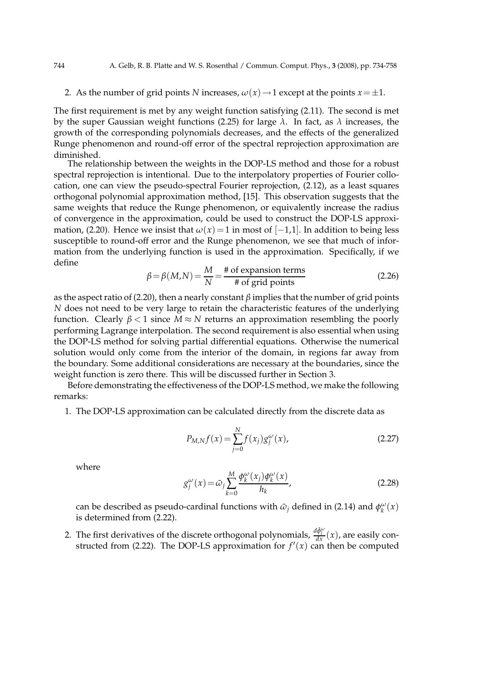2. As the number of grid points *N* increases,  $\omega(x) \rightarrow 1$  except at the points  $x = \pm 1$ .

The first requirement is met by any weight function satisfying (2.11). The second is met by the super Gaussian weight functions (2.25) for large *λ*. In fact, as *λ* increases, the growth of the corresponding polynomials decreases, and the effects of the generalized Runge phenomenon and round-off error of the spectral reprojection approximation are diminished.

The relationship between the weights in the DOP-LS method and those for a robust spectral reprojection is intentional. Due to the interpolatory properties of Fourier collocation, one can view the pseudo-spectral Fourier reprojection, (2.12), as a least squares orthogonal polynomial approximation method, [15]. This observation suggests that the same weights that reduce the Runge phenomenon, or equivalently increase the radius of convergence in the approximation, could be used to construct the DOP-LS approximation, (2.20). Hence we insist that  $\omega(x) = 1$  in most of  $[-1,1]$ . In addition to being less susceptible to round-off error and the Runge phenomenon, we see that much of information from the underlying function is used in the approximation. Specifically, if we define

$$
\beta = \beta(M,N) = \frac{M}{N} = \frac{\text{\# of expansion terms}}{\text{\# of grid points}}\tag{2.26}
$$

as the aspect ratio of (2.20), then a nearly constant  $\beta$  implies that the number of grid points *N* does not need to be very large to retain the characteristic features of the underlying function. Clearly  $β < 1$  since  $M ≈ N$  returns an approximation resembling the poorly performing Lagrange interpolation. The second requirement is also essential when using the DOP-LS method for solving partial differential equations. Otherwise the numerical solution would only come from the interior of the domain, in regions far away from the boundary. Some additional considerations are necessary at the boundaries, since the weight function is zero there. This will be discussed further in Section 3.

Before demonstrating the effectiveness of the DOP-LS method, we make the following remarks:

1. The DOP-LS approximation can be calculated directly from the discrete data as

$$
P_{M,N}f(x) = \sum_{j=0}^{N} f(x_j)g_j^{\omega}(x),
$$
\n(2.27)

where

$$
g_j^{\omega}(x) = \tilde{\omega}_j \sum_{k=0}^{M} \frac{\phi_k^{\omega}(x_j) \phi_k^{\omega}(x)}{h_k},
$$
\n(2.28)

can be described as pseudo-cardinal functions with  $\tilde{\omega}_j$  defined in (2.14) and  $\phi_k^{\omega}(x)$ is determined from (2.22).

2. The first derivatives of the discrete orthogonal polynomials,  $\frac{d\hat{\phi}^{\omega}_l}{dx}(x)$ , are easily constructed from (2.22). The DOP-LS approximation for  $f'(x)$  can then be computed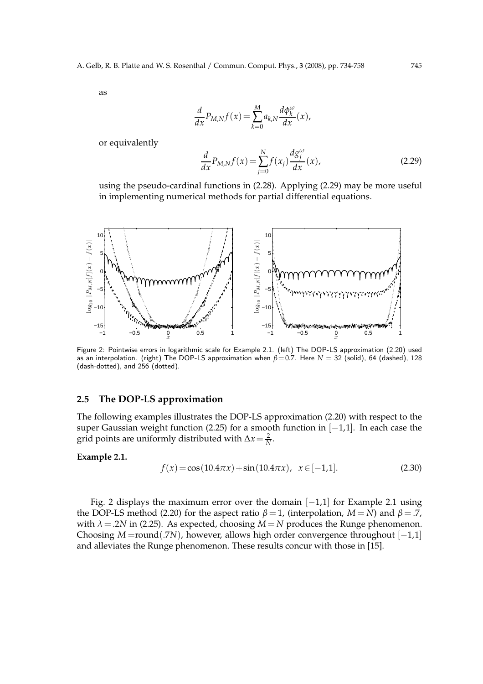as

$$
\frac{d}{dx}P_{M,N}f(x) = \sum_{k=0}^{M} a_{k,N} \frac{d\phi_k^{\omega}}{dx}(x),
$$

or equivalently

$$
\frac{d}{dx}P_{M,N}f(x) = \sum_{j=0}^{N} f(x_j) \frac{dg_j^{\omega}}{dx}(x),
$$
\n(2.29)

using the pseudo-cardinal functions in (2.28). Applying (2.29) may be more useful in implementing numerical methods for partial differential equations.



Figure 2: Pointwise errors in logarithmic scale for Example 2.1. (left) The DOP-LS approximation (2.20) used as an interpolation. (right) The DOP-LS approximation when  $\beta$ =0.7. Here *N* = 32 (solid), 64 (dashed), 128 (dash-dotted), and 256 (dotted).

## **2.5 The DOP-LS approximation**

The following examples illustrates the DOP-LS approximation (2.20) with respect to the super Gaussian weight function (2.25) for a smooth function in [−1,1]. In each case the grid points are uniformly distributed with  $\Delta x = \frac{2}{N}$ .

#### **Example 2.1.**

$$
f(x) = \cos(10.4\pi x) + \sin(10.4\pi x), \ \ x \in [-1, 1]. \tag{2.30}
$$

Fig. 2 displays the maximum error over the domain [−1,1] for Example 2.1 using the DOP-LS method (2.20) for the aspect ratio  $\beta = 1$ , (interpolation,  $M = N$ ) and  $\beta = .7$ , with  $\lambda$  = .2*N* in (2.25). As expected, choosing  $M = N$  produces the Runge phenomenon. Choosing *M* =round(.7*N*), however, allows high order convergence throughout [−1,1] and alleviates the Runge phenomenon. These results concur with those in [15].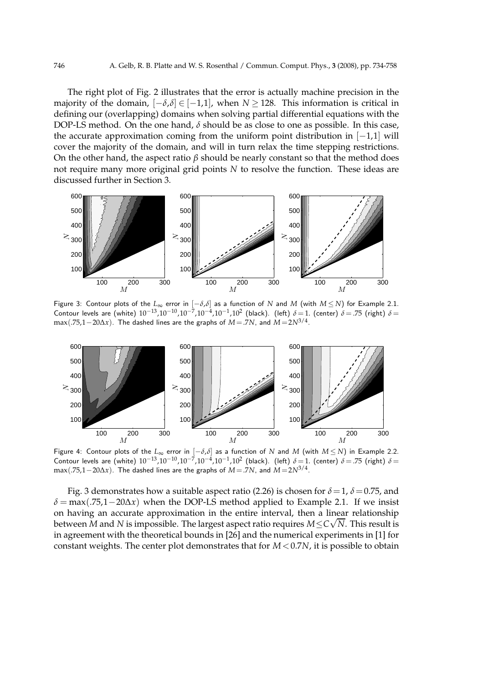The right plot of Fig. 2 illustrates that the error is actually machine precision in the majority of the domain,  $[-\delta, \delta] \in [-1,1]$ , when  $N \ge 128$ . This information is critical in defining our (overlapping) domains when solving partial differential equations with the DOP-LS method. On the one hand,  $\delta$  should be as close to one as possible. In this case, the accurate approximation coming from the uniform point distribution in  $[-1,1]$  will cover the majority of the domain, and will in turn relax the time stepping restrictions. On the other hand, the aspect ratio  $\beta$  should be nearly constant so that the method does not require many more original grid points *N* to resolve the function. These ideas are discussed further in Section 3.



Figure 3: Contour plots of the  $L_{\infty}$  error in  $[-\delta, \delta]$  as a function of *N* and *M* (with  $M \leq N$ ) for Example 2.1. Contour levels are (white) 10<sup>-13</sup>,10<sup>-10</sup>,10<sup>-7</sup>,10<sup>-4</sup>,10<sup>-1</sup>,10<sup>2</sup> (black). (left) *δ* = 1. (center) *δ* = .75 (right) *δ* = max(.75,1−20∆*x*). The dashed lines are the graphs of *<sup>M</sup>*=.7*N*, and *<sup>M</sup>*=2*N*3/4 .



Figure 4: Contour plots of the *L*<sup>∞</sup> error in [−*δ*,*δ*] as a function of *N* and *M* (with *M* ≤ *N*) in Example 2.2. Contour levels are (white)  $10^{-13}$ , $10^{-10}$ , $10^{-7}$ , $10^{-4}$ , $10^{-1}$ , $10^{2}$  (black). (left)  $δ = 1$ . (center)  $δ = .75$  (right)  $δ =$ max(.75,1−20∆*x*). The dashed lines are the graphs of *<sup>M</sup>*=.7*N*, and *<sup>M</sup>*=2*N*3/4 .

Fig. 3 demonstrates how a suitable aspect ratio (2.26) is chosen for  $\delta = 1$ ,  $\delta = 0.75$ , and  $\delta = \max(.75.1 - 20\Delta x)$  when the DOP-LS method applied to Example 2.1. If we insist on having an accurate approximation in the entire interval, then a linear relationship between *M* and *N* is impossible. The largest aspect ratio requires  $M \le C\sqrt{N}$ . This result is in agreement with the theoretical bounds in [26] and the numerical experiments in [1] for constant weights. The center plot demonstrates that for  $M < 0.7N$ , it is possible to obtain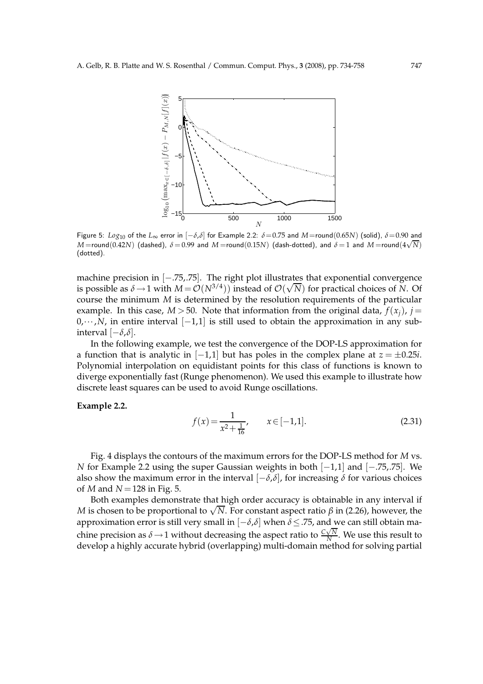

Figure 5: *Log*<sup>10</sup> of the *L*<sup>∞</sup> error in [−*δ*,*δ*] for Example 2.2: *δ*=0.75 and *M*=round(0.65*N*) (solid), *δ*=0.90 and *M* =round(0.42*N*) (dashed),  $\delta$  = 0.99 and *M* =round(0.15*N*) (dash-dotted), and  $\delta$  = 1 and *M* =round(4 $\sqrt{N}$ ) (dotted).

machine precision in [−.75,.75]. The right plot illustrates that exponential convergence is possible as  $\delta \to 1$  with  $M = \mathcal{O}(N^{3/4})$ ) instead of  $\mathcal{O}(\sqrt{N})$  for practical choices of *N*. Of course the minimum *M* is determined by the resolution requirements of the particular example. In this case,  $M > 50$ . Note that information from the original data,  $f(x_i)$ ,  $i =$ 0,···,*N*, in entire interval [−1,1] is still used to obtain the approximation in any subinterval [−*δ*,*δ*].

In the following example, we test the convergence of the DOP-LS approximation for a function that is analytic in  $[-1,1]$  but has poles in the complex plane at  $z = \pm 0.25i$ . Polynomial interpolation on equidistant points for this class of functions is known to diverge exponentially fast (Runge phenomenon). We used this example to illustrate how discrete least squares can be used to avoid Runge oscillations.

#### **Example 2.2.**

$$
f(x) = \frac{1}{x^2 + \frac{1}{16}}, \qquad x \in [-1, 1].
$$
 (2.31)

Fig. 4 displays the contours of the maximum errors for the DOP-LS method for *M* vs. *N* for Example 2.2 using the super Gaussian weights in both [−1,1] and [−.75,.75]. We also show the maximum error in the interval  $[-\delta, \delta]$ , for increasing  $\delta$  for various choices of *M* and *N* =128 in Fig. 5.

Both examples demonstrate that high order accuracy is obtainable in any interval if *M* is chosen to be proportional to  $\sqrt{N}$ . For constant aspect ratio *β* in (2.26), however, the approximation error is still very small in [−*δ*,*δ*] when *δ*≤.75, and we can still obtain machine precision as  $\delta \rightarrow 1$  without decreasing the aspect ratio to  $\frac{C\sqrt{N}}{N}$  $\frac{N}{N}$ . We use this result to develop a highly accurate hybrid (overlapping) multi-domain method for solving partial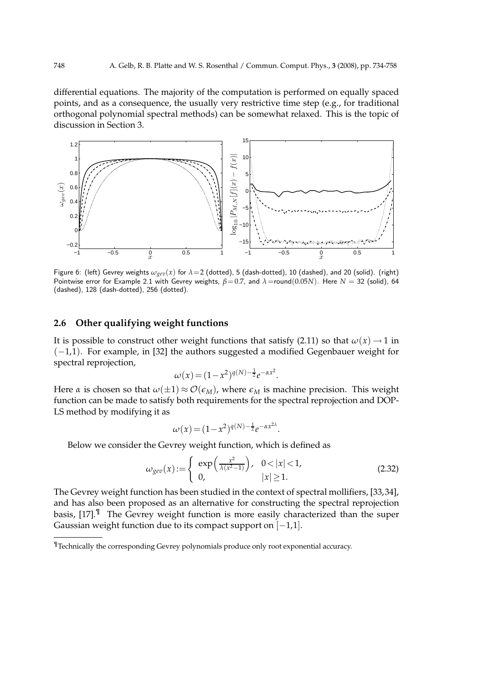differential equations. The majority of the computation is performed on equally spaced points, and as a consequence, the usually very restrictive time step (e.g., for traditional orthogonal polynomial spectral methods) can be somewhat relaxed. This is the topic of discussion in Section 3.



Figure 6: (left) Gevrey weights  $\omega_{\text{geo}}(x)$  for  $\lambda=2$  (dotted), 5 (dash-dotted), 10 (dashed), and 20 (solid). (right) Pointwise error for Example 2.1 with Gevrey weights, *β*=0.7, and *λ*=round(0.05*N*). Here *N* = 32 (solid), 64 (dashed), 128 (dash-dotted), 256 (dotted).

## **2.6 Other qualifying weight functions**

It is possible to construct other weight functions that satisfy (2.11) so that  $\omega(x) \rightarrow 1$  in (−1,1). For example, in [32] the authors suggested a modified Gegenbauer weight for spectral reprojection,

$$
\omega(x) = (1 - x^2)^{q(N) - \frac{1}{2}} e^{-\alpha x^2}.
$$

Here *α* is chosen so that  $\omega(\pm 1) \approx \mathcal{O}(\epsilon_M)$ , where  $\epsilon_M$  is machine precision. This weight function can be made to satisfy both requirements for the spectral reprojection and DOP-LS method by modifying it as

$$
\omega(x) = (1 - x^2)^{q(N) - \frac{1}{2}} e^{-\alpha x^{2\lambda}}.
$$

Below we consider the Gevrey weight function, which is defined as

$$
\omega_{\text{gen}}(x) := \begin{cases} \exp\left(\frac{x^2}{\lambda(x^2 - 1)}\right), & 0 < |x| < 1, \\ 0, & |x| \ge 1. \end{cases}
$$
\n(2.32)

The Gevrey weight function has been studied in the context of spectral mollifiers, [33,34], and has also been proposed as an alternative for constructing the spectral reprojection basis, [17].¶ The Gevrey weight function is more easily characterized than the super Gaussian weight function due to its compact support on  $[-1,1]$ .

<sup>¶</sup>Technically the corresponding Gevrey polynomials produce only root exponential accuracy.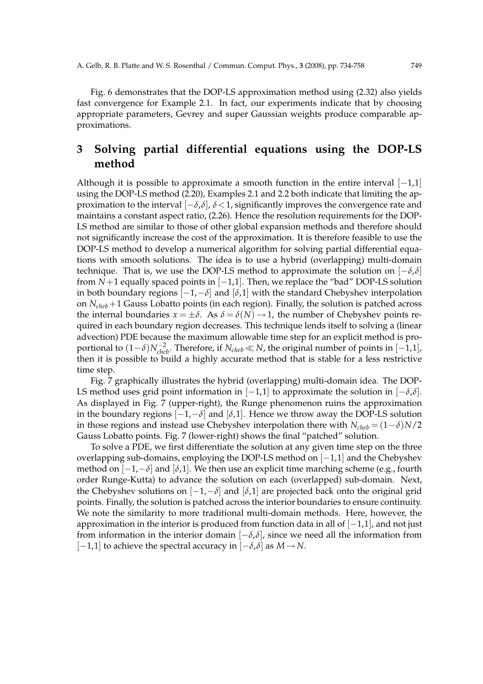Fig. 6 demonstrates that the DOP-LS approximation method using (2.32) also yields fast convergence for Example 2.1. In fact, our experiments indicate that by choosing appropriate parameters, Gevrey and super Gaussian weights produce comparable approximations.

# **3 Solving partial differential equations using the DOP-LS method**

Although it is possible to approximate a smooth function in the entire interval  $[-1,1]$ using the DOP-LS method (2.20), Examples 2.1 and 2.2 both indicate that limiting the approximation to the interval [−*δ*,*δ*], *<sup>δ</sup>*<1, significantly improves the convergence rate and maintains a constant aspect ratio, (2.26). Hence the resolution requirements for the DOP-LS method are similar to those of other global expansion methods and therefore should not significantly increase the cost of the approximation. It is therefore feasible to use the DOP-LS method to develop a numerical algorithm for solving partial differential equations with smooth solutions. The idea is to use a hybrid (overlapping) multi-domain technique. That is, we use the DOP-LS method to approximate the solution on  $[-\delta, \delta]$ from  $N+1$  equally spaced points in  $[-1,1]$ . Then, we replace the "bad" DOP-LS solution in both boundary regions  $[-1,-\delta]$  and  $[\delta,1]$  with the standard Chebyshev interpolation on *Ncheb*+1 Gauss Lobatto points (in each region). Finally, the solution is patched across the internal boundaries  $x = \pm \delta$ . As  $\delta = \delta(N) \rightarrow 1$ , the number of Chebyshev points required in each boundary region decreases. This technique lends itself to solving a (linear advection) PDE because the maximum allowable time step for an explicit method is proportional to  $(1-\delta)N_{cheb}^{-2}$ . Therefore, if  $N_{cheb} \ll N$ , the original number of points in  $[-1,1]$ , then it is possible to build a highly accurate method that is stable for a less restrictive time step.

Fig. 7 graphically illustrates the hybrid (overlapping) multi-domain idea. The DOP-LS method uses grid point information in  $[-1,1]$  to approximate the solution in  $[-δ,δ]$ . As displayed in Fig. 7 (upper-right), the Runge phenomenon ruins the approximation in the boundary regions  $[-1, -\delta]$  and  $[\delta, 1]$ . Hence we throw away the DOP-LS solution in those regions and instead use Chebyshev interpolation there with  $N_{cheb} = (1 - \delta)N/2$ Gauss Lobatto points. Fig. 7 (lower-right) shows the final "patched" solution.

To solve a PDE, we first differentiate the solution at any given time step on the three overlapping sub-domains, employing the DOP-LS method on [−1,1] and the Chebyshev method on [−1,−*δ*] and [*δ*,1]. We then use an explicit time marching scheme (e.g., fourth order Runge-Kutta) to advance the solution on each (overlapped) sub-domain. Next, the Chebyshev solutions on  $[-1,-\delta]$  and  $[\delta,1]$  are projected back onto the original grid points. Finally, the solution is patched across the interior boundaries to ensure continuity. We note the similarity to more traditional multi-domain methods. Here, however, the approximation in the interior is produced from function data in all of  $[-1,1]$ , and not just from information in the interior domain [−*δ*,*δ*], since we need all the information from [−1,1] to achieve the spectral accuracy in [−*δ*,*δ*] as *M*→*N*.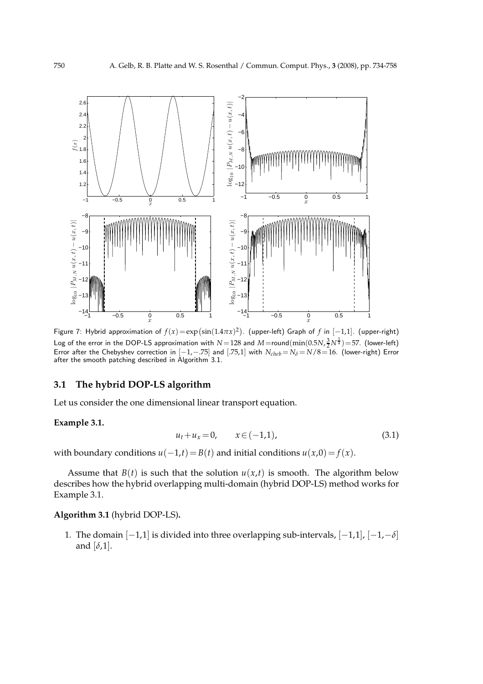

Figure 7: Hybrid approximation of  $f(x) = \exp(\sin(1.4\pi x)^2)$ . (upper-left) Graph of *f* in  $[-1,1]$ . (upper-right) Log of the error in the DOP-LS approximation with  $N=128$  and  $M=$ round $(\min(0.5N,\frac{3}{2}N^{\frac{3}{4}})=57.$  (lower-left) Error after the Chebyshev correction in  $[-1,-.75]$  and  $[.75,1]$  with  $N_{cheb} = N_{\delta} = N/8 = 16$ . (lower-right) Error after the smooth patching described in Algorithm 3.1.

### **3.1 The hybrid DOP-LS algorithm**

Let us consider the one dimensional linear transport equation.

## **Example 3.1.**

$$
u_t + u_x = 0, \qquad x \in (-1, 1), \tag{3.1}
$$

with boundary conditions  $u(-1,t) = B(t)$  and initial conditions  $u(x,0) = f(x)$ .

Assume that  $B(t)$  is such that the solution  $u(x,t)$  is smooth. The algorithm below describes how the hybrid overlapping multi-domain (hybrid DOP-LS) method works for Example 3.1.

## **Algorithm 3.1** (hybrid DOP-LS)**.**

1. The domain [−1,1] is divided into three overlapping sub-intervals, [−1,1], [−1,−*δ*] and [*δ*,1].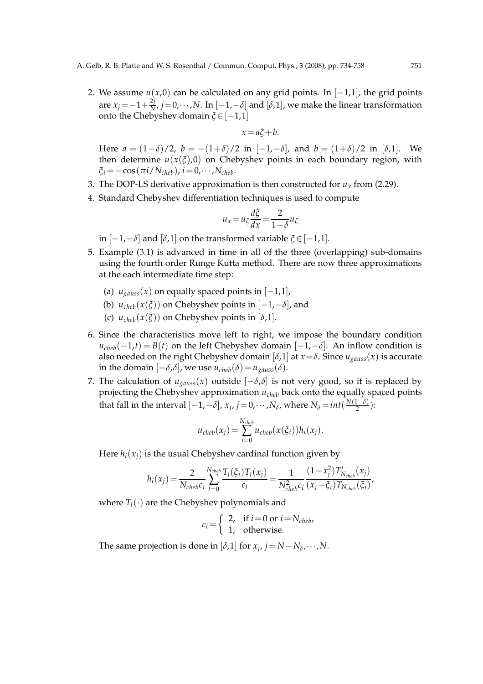2. We assume  $u(x,0)$  can be calculated on any grid points. In  $[-1,1]$ , the grid points are  $x_j = -1 + \frac{2j}{N}$  $\frac{2}{N}$ ,  $j=0,\dots,N$ . In  $[-1,-\delta]$  and  $[\delta,1]$ , we make the linear transformation onto the Chebyshev domain *ξ*∈[−1,1]

$$
x = a\xi + b.
$$

Here *a* = (1−*δ*)/2, *b* = −(1+*δ*)/2 in [−1,−*δ*], and *b* = (1+*δ*)/2 in [*δ*,1]. We then determine  $u(x(\xi),0)$  on Chebyshev points in each boundary region, with  $\zeta_i = -\cos(\pi i/N_{cheb})$ ,  $i = 0, \cdots, N_{cheb}$ .

- 3. The DOP-LS derivative approximation is then constructed for  $u_x$  from (2.29).
- 4. Standard Chebyshev differentiation techniques is used to compute

$$
u_x = u_{\xi} \frac{d\xi}{dx} = \frac{2}{1 - \delta} u_{\xi}
$$

in  $[-1,-\delta]$  and  $[\delta,1]$  on the transformed variable  $\xi \in [-1,1]$ .

- 5. Example (3.1) is advanced in time in all of the three (overlapping) sub-domains using the fourth order Runge Kutta method. There are now three approximations at the each intermediate time step:
	- (a)  $u_{gauss}(x)$  on equally spaced points in  $[-1,1]$ ,
	- (b)  $u_{cheb}(x(\xi))$  on Chebyshev points in  $[-1,-\delta]$ , and
	- (c)  $u_{cheb}(x(\xi))$  on Chebyshev points in [ $\delta$ ,1].
- 6. Since the characteristics move left to right, we impose the boundary condition  $u_{cheb}(-1,t) = B(t)$  on the left Chebyshev domain  $[-1,-\delta]$ . An inflow condition is also needed on the right Chebyshev domain  $[\delta,1]$  at  $x = \delta$ . Since  $u_{gauss}(x)$  is accurate in the domain [−*δ*,*δ*], we use *ucheb*(*δ*)=*ugauss*(*δ*).
- 7. The calculation of  $u_{gauss}(x)$  outside  $[-\delta, \delta]$  is not very good, so it is replaced by projecting the Chebyshev approximation *ucheb* back onto the equally spaced points that fall in the interval  $[-1, -\delta]$ ,  $x_j$ ,  $j=0, \cdots, N_\delta$ , where  $N_\delta = int(\frac{N(1-\delta)}{2})$ :

$$
u_{cheb}(x_j) = \sum_{i=0}^{N_{cheb}} u_{cheb}(x(\xi_i))h_i(x_j).
$$

Here  $h_i(x_i)$  is the usual Chebyshev cardinal function given by

$$
h_i(x_j) = \frac{2}{N_{cheb}c_i} \sum_{l=0}^{N_{cheb}} \frac{T_l(\xi_i)T_l(x_j)}{c_l} = \frac{1}{N_{cheb}^2 c_i} \frac{(1-x_j^2)T'_{N_{cheb}}(x_j)}{(x_j - \xi_i)T_{N_{cheb}}(\xi_i)},
$$

where  $T_l(\cdot)$  are the Chebyshev polynomials and

$$
c_i = \begin{cases} 2, & \text{if } i = 0 \text{ or } i = N_{cheb}, \\ 1, & \text{otherwise.} \end{cases}
$$

The same projection is done in  $[\delta,1]$  for  $x_j$ ,  $j = N - N_\delta, \dots, N$ .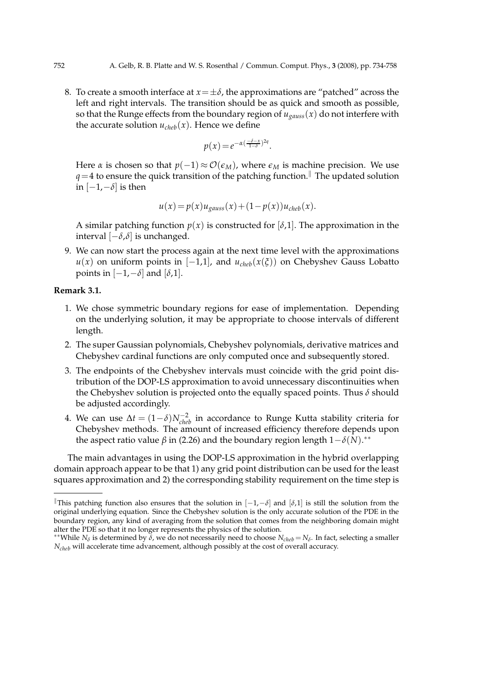8. To create a smooth interface at  $x = \pm \delta$ , the approximations are "patched" across the left and right intervals. The transition should be as quick and smooth as possible, so that the Runge effects from the boundary region of  $u_{gauss}(x)$  do not interfere with the accurate solution  $u_{cheb}(x)$ . Hence we define

$$
p(x) = e^{-\alpha(\frac{-\delta - x}{1 - \delta})^{2q}}.
$$

Here *α* is chosen so that  $p(-1) \approx \mathcal{O}(\epsilon_M)$ , where  $\epsilon_M$  is machine precision. We use  $q=4$  to ensure the quick transition of the patching function.<sup>||</sup> The updated solution in  $[-1,−\delta]$  is then

$$
u(x) = p(x)u_{gauss}(x) + (1 - p(x))u_{cheb}(x).
$$

A similar patching function  $p(x)$  is constructed for  $[\delta,1]$ . The approximation in the interval [−*δ*,*δ*] is unchanged.

9. We can now start the process again at the next time level with the approximations  $u(x)$  on uniform points in  $[-1,1]$ , and  $u_{cheb}(x(\xi))$  on Chebyshev Gauss Lobatto points in  $[-1, -\delta]$  and  $[\delta, 1]$ .

#### **Remark 3.1.**

- 1. We chose symmetric boundary regions for ease of implementation. Depending on the underlying solution, it may be appropriate to choose intervals of different length.
- 2. The super Gaussian polynomials, Chebyshev polynomials, derivative matrices and Chebyshev cardinal functions are only computed once and subsequently stored.
- 3. The endpoints of the Chebyshev intervals must coincide with the grid point distribution of the DOP-LS approximation to avoid unnecessary discontinuities when the Chebyshev solution is projected onto the equally spaced points. Thus *δ* should be adjusted accordingly.
- 4. We can use  $\Delta t = (1 \delta) N_{cheb}^{-2}$  in accordance to Runge Kutta stability criteria for Chebyshev methods. The amount of increased efficiency therefore depends upon the aspect ratio value  $β$  in (2.26) and the boundary region length  $1-δ(N)$ .<sup>\*\*</sup>

The main advantages in using the DOP-LS approximation in the hybrid overlapping domain approach appear to be that 1) any grid point distribution can be used for the least squares approximation and 2) the corresponding stability requirement on the time step is

<sup>k</sup>This patching function also ensures that the solution in [−1,−*δ*] and [*δ*,1] is still the solution from the original underlying equation. Since the Chebyshev solution is the only accurate solution of the PDE in the boundary region, any kind of averaging from the solution that comes from the neighboring domain might alter the PDE so that it no longer represents the physics of the solution.

<sup>∗∗</sup>While *N<sup>δ</sup>* is determined by *δ*, we do not necessarily need to choose *Ncheb* = *N<sup>δ</sup>* . In fact, selecting a smaller *N*<sub>cheb</sub> will accelerate time advancement, although possibly at the cost of overall accuracy.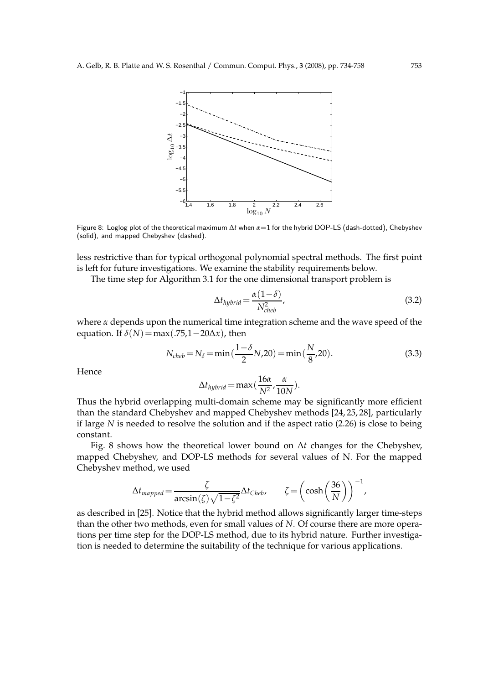

Figure 8: Loglog plot of the theoretical maximum ∆*t* when *α*=1 for the hybrid DOP-LS (dash-dotted), Chebyshev (solid), and mapped Chebyshev (dashed).

less restrictive than for typical orthogonal polynomial spectral methods. The first point is left for future investigations. We examine the stability requirements below.

The time step for Algorithm 3.1 for the one dimensional transport problem is

$$
\Delta t_{hybrid} = \frac{\alpha (1 - \delta)}{N_{cheb}^2},
$$
\n(3.2)

where *α* depends upon the numerical time integration scheme and the wave speed of the equation. If  $\delta(N)$  = max(.75,1 – 20 $\Delta x$ ), then

$$
N_{cheb} = N_{\delta} = \min\left(\frac{1-\delta}{2}N,20\right) = \min\left(\frac{N}{8},20\right). \tag{3.3}
$$

Hence

$$
\Delta t_{hybrid} = \max\left(\frac{16\alpha}{N^2}, \frac{\alpha}{10N}\right).
$$

Thus the hybrid overlapping multi-domain scheme may be significantly more efficient than the standard Chebyshev and mapped Chebyshev methods [24, 25, 28], particularly if large *N* is needed to resolve the solution and if the aspect ratio (2.26) is close to being constant.

Fig. 8 shows how the theoretical lower bound on ∆*t* changes for the Chebyshev, mapped Chebyshev, and DOP-LS methods for several values of N. For the mapped Chebyshev method, we used

$$
\Delta t_{mapped} = \frac{\zeta}{\arcsin(\zeta)\sqrt{1-\zeta^2}} \Delta t_{Cheb}, \qquad \zeta = \left(\cosh\left(\frac{36}{N}\right)\right)^{-1},
$$

as described in [25]. Notice that the hybrid method allows significantly larger time-steps than the other two methods, even for small values of *N*. Of course there are more operations per time step for the DOP-LS method, due to its hybrid nature. Further investigation is needed to determine the suitability of the technique for various applications.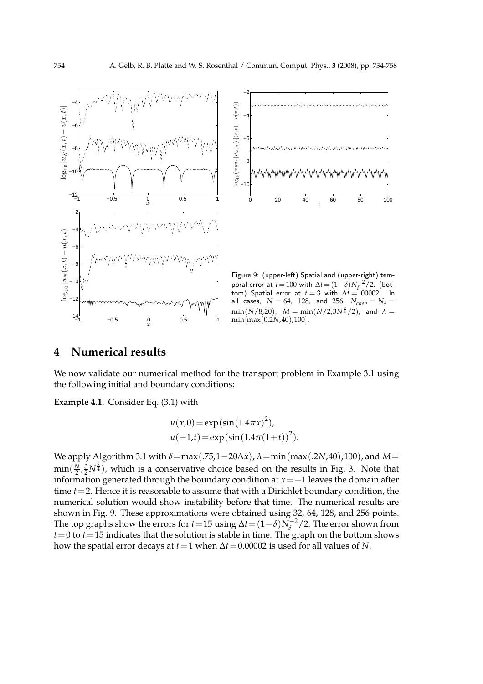



Figure 9: (upper-left) Spatial and (upper-right) temporal error at  $t = 100$  with  $\Delta t = (1 - \delta) N_{\delta}^{-2} / 2$ . (bottom) Spatial error at  $t = 3$  with  $\Delta t = .00002$ . In all cases,  $N = 64$ , 128, and 256,  $N_{cheb} = N_{\delta} =$  $\min(N/8,20),\;\;M=\min(N/2,3N^{\frac{3}{4}}/2),\;\;$  and  $\;\lambda=$ min[max(0.2*N*,40),100].

## **4 Numerical results**

We now validate our numerical method for the transport problem in Example 3.1 using the following initial and boundary conditions:

**Example 4.1.** Consider Eq. (3.1) with

$$
u(x,0) = \exp(\sin(1.4\pi x)^{2}),
$$
  
 
$$
u(-1,t) = \exp(\sin(1.4\pi(1+t))^{2}).
$$

We apply Algorithm 3.1 with *<sup>δ</sup>*=max(.75,1−20∆*x*), *<sup>λ</sup>*=min(max(.2*N*,40),100), and *<sup>M</sup>*=  $\min(\frac{N}{2})$  $\frac{N}{2}, \frac{3}{2}N^{\frac{3}{4}}$ ), which is a conservative choice based on the results in Fig. 3. Note that information generated through the boundary condition at *x*=−1 leaves the domain after time *t*=2. Hence it is reasonable to assume that with a Dirichlet boundary condition, the numerical solution would show instability before that time. The numerical results are shown in Fig. 9. These approximations were obtained using 32, 64, 128, and 256 points. The top graphs show the errors for *t*=15 using  $\Delta t = (1 - \delta)N_{\delta}^{-2}/2$ . The error shown from  $t=0$  to  $t=15$  indicates that the solution is stable in time. The graph on the bottom shows how the spatial error decays at *t*=1 when ∆*t*=0.00002 is used for all values of *N*.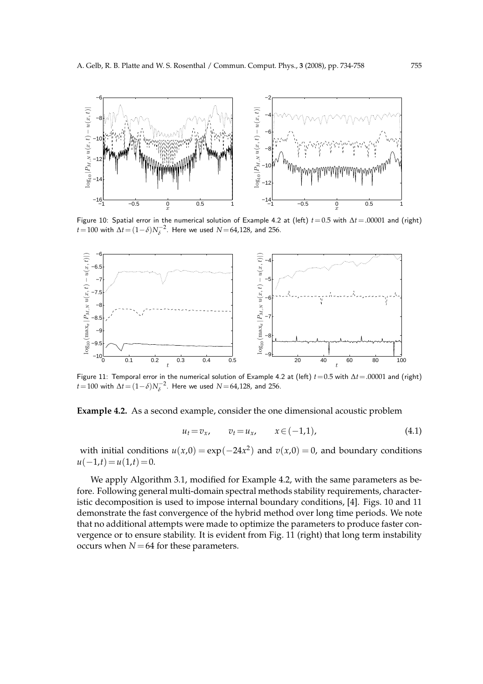

Figure 10: Spatial error in the numerical solution of Example 4.2 at (left) *t*=0.5 with ∆*t*=.00001 and (right) *t* = 100 with  $\Delta t = (1 - \delta) N_{\delta}^{-2}$ . Here we used *N* = 64,128, and 256.



Figure 11: Temporal error in the numerical solution of Example 4.2 at (left) *t*=0.5 with ∆*t*=.00001 and (right) *t* = 100 with  $\Delta t$  =  $(1-\delta)N_{\delta}^{-2}$ . Here we used *N* = 64,128, and 256.

**Example 4.2.** As a second example, consider the one dimensional acoustic problem

$$
u_t = v_x, \qquad v_t = u_x, \qquad x \in (-1,1), \tag{4.1}
$$

with initial conditions  $u(x,0) = \exp(-24x^2)$  and  $v(x,0) = 0$ , and boundary conditions  $u(-1,t) = u(1,t) = 0.$ 

We apply Algorithm 3.1, modified for Example 4.2, with the same parameters as before. Following general multi-domain spectral methods stability requirements, characteristic decomposition is used to impose internal boundary conditions, [4]. Figs. 10 and 11 demonstrate the fast convergence of the hybrid method over long time periods. We note that no additional attempts were made to optimize the parameters to produce faster convergence or to ensure stability. It is evident from Fig. 11 (right) that long term instability occurs when  $N = 64$  for these parameters.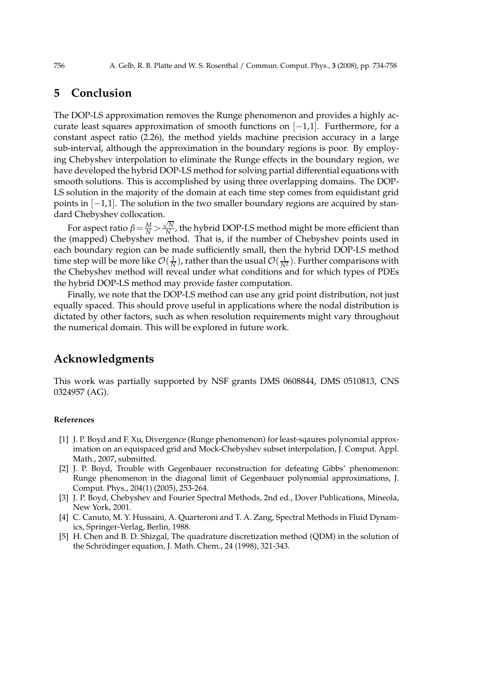# **5 Conclusion**

The DOP-LS approximation removes the Runge phenomenon and provides a highly accurate least squares approximation of smooth functions on  $[-1,1]$ . Furthermore, for a constant aspect ratio (2.26), the method yields machine precision accuracy in a large sub-interval, although the approximation in the boundary regions is poor. By employing Chebyshev interpolation to eliminate the Runge effects in the boundary region, we have developed the hybrid DOP-LS method for solving partial differential equations with smooth solutions. This is accomplished by using three overlapping domains. The DOP-LS solution in the majority of the domain at each time step comes from equidistant grid points in [−1,1]. The solution in the two smaller boundary regions are acquired by standard Chebyshev collocation.

For aspect ratio  $\beta = \frac{M}{N} > \frac{\sqrt{N}}{N}$  $\frac{N}{N}$ , the hybrid DOP-LS method might be more efficient than the (mapped) Chebyshev method. That is, if the number of Chebyshev points used in each boundary region can be made sufficiently small, then the hybrid DOP-LS method time step will be more like  $\mathcal{O}(\frac{1}{N})$ , rather than the usual  $\mathcal{O}(\frac{1}{N^2})$ . Further comparisons with the Chebyshev method will reveal under what conditions and for which types of PDEs the hybrid DOP-LS method may provide faster computation.

Finally, we note that the DOP-LS method can use any grid point distribution, not just equally spaced. This should prove useful in applications where the nodal distribution is dictated by other factors, such as when resolution requirements might vary throughout the numerical domain. This will be explored in future work.

# **Acknowledgments**

This work was partially supported by NSF grants DMS 0608844, DMS 0510813, CNS 0324957 (AG).

#### **References**

- [1] J. P. Boyd and F. Xu, Divergence (Runge phenomenon) for least-sqaures polynomial approximation on an equispaced grid and Mock-Chebyshev subset interpolation, J. Comput. Appl. Math., 2007, submitted.
- [2] J. P. Boyd, Trouble with Gegenbauer reconstruction for defeating Gibbs' phenomenon: Runge phenomenon in the diagonal limit of Gegenbauer polynomial approximations, J. Comput. Phys., 204(1) (2005), 253-264.
- [3] J. P. Boyd, Chebyshev and Fourier Spectral Methods, 2nd ed., Dover Publications, Mineola, New York, 2001.
- [4] C. Canuto, M. Y. Hussaini, A. Quarteroni and T. A. Zang, Spectral Methods in Fluid Dynamics, Springer-Verlag, Berlin, 1988.
- [5] H. Chen and B. D. Shizgal, The quadrature discretization method (QDM) in the solution of the Schrödinger equation, J. Math. Chem., 24 (1998), 321-343.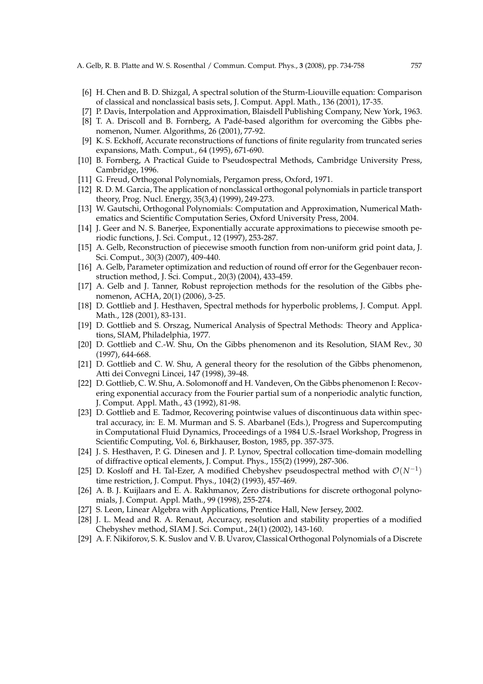- [6] H. Chen and B. D. Shizgal, A spectral solution of the Sturm-Liouville equation: Comparison of classical and nonclassical basis sets, J. Comput. Appl. Math., 136 (2001), 17-35.
- [7] P. Davis, Interpolation and Approximation, Blaisdell Publishing Company, New York, 1963.
- [8] T. A. Driscoll and B. Fornberg, A Padé-based algorithm for overcoming the Gibbs phenomenon, Numer. Algorithms, 26 (2001), 77-92.
- [9] K. S. Eckhoff, Accurate reconstructions of functions of finite regularity from truncated series expansions, Math. Comput., 64 (1995), 671-690.
- [10] B. Fornberg, A Practical Guide to Pseudospectral Methods, Cambridge University Press, Cambridge, 1996.
- [11] G. Freud, Orthogonal Polynomials, Pergamon press, Oxford, 1971.
- [12] R. D. M. Garcia, The application of nonclassical orthogonal polynomials in particle transport theory, Prog. Nucl. Energy, 35(3,4) (1999), 249-273.
- [13] W. Gautschi, Orthogonal Polynomials: Computation and Approximation, Numerical Mathematics and Scientific Computation Series, Oxford University Press, 2004.
- [14] J. Geer and N. S. Banerjee, Exponentially accurate approximations to piecewise smooth periodic functions, J. Sci. Comput., 12 (1997), 253-287.
- [15] A. Gelb, Reconstruction of piecewise smooth function from non-uniform grid point data, J. Sci. Comput., 30(3) (2007), 409-440.
- [16] A. Gelb, Parameter optimization and reduction of round off error for the Gegenbauer reconstruction method, J. Sci. Comput., 20(3) (2004), 433-459.
- [17] A. Gelb and J. Tanner, Robust reprojection methods for the resolution of the Gibbs phenomenon, ACHA, 20(1) (2006), 3-25.
- [18] D. Gottlieb and J. Hesthaven, Spectral methods for hyperbolic problems, J. Comput. Appl. Math., 128 (2001), 83-131.
- [19] D. Gottlieb and S. Orszag, Numerical Analysis of Spectral Methods: Theory and Applications, SIAM, Philadelphia, 1977.
- [20] D. Gottlieb and C.-W. Shu, On the Gibbs phenomenon and its Resolution, SIAM Rev., 30 (1997), 644-668.
- [21] D. Gottlieb and C. W. Shu, A general theory for the resolution of the Gibbs phenomenon, Atti dei Convegni Lincei, 147 (1998), 39-48.
- [22] D. Gottlieb, C. W. Shu, A. Solomonoff and H. Vandeven, On the Gibbs phenomenon I: Recovering exponential accuracy from the Fourier partial sum of a nonperiodic analytic function, J. Comput. Appl. Math., 43 (1992), 81-98.
- [23] D. Gottlieb and E. Tadmor, Recovering pointwise values of discontinuous data within spectral accuracy, in: E. M. Murman and S. S. Abarbanel (Eds.), Progress and Supercomputing in Computational Fluid Dynamics, Proceedings of a 1984 U.S.-Israel Workshop, Progress in Scientific Computing, Vol. 6, Birkhauser, Boston, 1985, pp. 357-375.
- [24] J. S. Hesthaven, P. G. Dinesen and J. P. Lynov, Spectral collocation time-domain modelling of diffractive optical elements, J. Comput. Phys., 155(2) (1999), 287-306.
- [25] D. Kosloff and H. Tal-Ezer, A modified Chebyshev pseudospectral method with  $\mathcal{O}(N^{-1})$ time restriction, J. Comput. Phys., 104(2) (1993), 457-469.
- [26] A. B. J. Kuijlaars and E. A. Rakhmanov, Zero distributions for discrete orthogonal polynomials, J. Comput. Appl. Math., 99 (1998), 255-274.
- [27] S. Leon, Linear Algebra with Applications, Prentice Hall, New Jersey, 2002.
- [28] J. L. Mead and R. A. Renaut, Accuracy, resolution and stability properties of a modified Chebyshev method, SIAM J. Sci. Comput., 24(1) (2002), 143-160.
- [29] A. F. Nikiforov, S. K. Suslov and V. B. Uvarov, Classical Orthogonal Polynomials of a Discrete